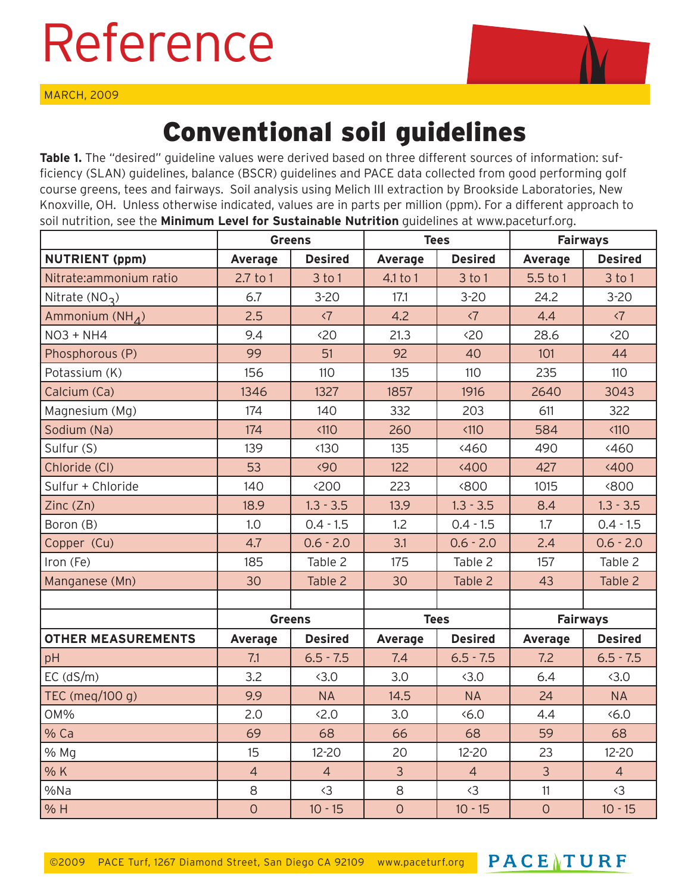## Reference

MARCH, 2009



## Conventional soil guidelines

**Table 1.** The "desired" guideline values were derived based on three different sources of information: sufficiency (SLAN) guidelines, balance (BSCR) guidelines and PACE data collected from good performing golf course greens, tees and fairways. Soil analysis using Melich III extraction by Brookside Laboratories, New Knoxville, OH. Unless otherwise indicated, values are in parts per million (ppm). For a different approach to soil nutrition, see the **Minimum Level for Sustainable Nutrition** guidelines at www.paceturf.org.

|                           | <b>Greens</b>  |                     | <b>Tees</b>    |                     | <b>Fairways</b> |                     |
|---------------------------|----------------|---------------------|----------------|---------------------|-----------------|---------------------|
| <b>NUTRIENT (ppm)</b>     | Average        | <b>Desired</b>      | <b>Average</b> | <b>Desired</b>      | <b>Average</b>  | <b>Desired</b>      |
| Nitrate:ammonium ratio    | $2.7$ to 1     | $3$ to 1            | 4.1 to 1       | 3 to 1              | 5.5 to 1        | $3$ to 1            |
| Nitrate $(NO3)$           | 6.7            | $3 - 20$            | 17.1           | $3 - 20$            | 24.2            | $3 - 20$            |
| Ammonium $(NH_A)$         | 2.5            | $\langle 7 \rangle$ | 4.2            | $\langle 7 \rangle$ | 4.4             | $\langle 7 \rangle$ |
| <b>NO3 + NH4</b>          | 9.4            | 520                 | 21.3           | 520                 | 28.6            | 520                 |
| Phosphorous (P)           | 99             | 51                  | 92             | 40                  | 101             | 44                  |
| Potassium (K)             | 156            | 110                 | 135            | 110                 | 235             | 110                 |
| Calcium (Ca)              | 1346           | 1327                | 1857           | 1916                | 2640            | 3043                |
| Magnesium (Mg)            | 174            | 140                 | 332            | 203                 | 611             | 322                 |
| Sodium (Na)               | 174            | < 110               | 260            | < 110               | 584             | < 110               |
| Sulfur (S)                | 139            | $\langle 130$       | 135            | 460                 | 490             | 460                 |
| Chloride (CI)             | 53             | $\langle 90$        | 122            | 400 <sub>o</sub>    | 427             | 400                 |
| Sulfur + Chloride         | 140            | <200                | 223            | <800                | 1015            | <800                |
| Zinc (Zn)                 | 18.9           | $1.3 - 3.5$         | 13.9           | $1.3 - 3.5$         | 8.4             | $1.3 - 3.5$         |
| Boron (B)                 | 1.0            | $0.4 - 1.5$         | 1.2            | $0.4 - 1.5$         | 1.7             | $0.4 - 1.5$         |
| Copper (Cu)               | 4.7            | $0.6 - 2.0$         | 3.1            | $0.6 - 2.0$         | 2.4             | $0.6 - 2.0$         |
| Iron (Fe)                 | 185            | Table 2             | 175            | Table 2             | 157             | Table 2             |
| Manganese (Mn)            | 30             | Table 2             | 30             | Table 2             | 43              | Table 2             |
|                           |                |                     |                |                     |                 |                     |
|                           | <b>Greens</b>  |                     | <b>Tees</b>    |                     | <b>Fairways</b> |                     |
| <b>OTHER MEASUREMENTS</b> | Average        | <b>Desired</b>      | <b>Average</b> | <b>Desired</b>      | Average         | <b>Desired</b>      |
| pH                        | 7.1            | $6.5 - 7.5$         | 7.4            | $6.5 - 7.5$         | 7.2             | $6.5 - 7.5$         |
| $EC$ ( $dS/m$ )           | 3.2            | 3.0                 | 3.0            | 3.0                 | 6.4             | 3.0                 |
| TEC (meg/100 g)           | 9.9            | <b>NA</b>           | 14.5           | <b>NA</b>           | 24              | <b>NA</b>           |
| OM%                       | 2.0            | 52.0                | 3.0            | 56.0                | 4.4             | 5.0                 |
| % Ca                      | 69             | 68                  | 66             | 68                  | 59              | 68                  |
| % Mg                      | 15             | $12 - 20$           | 20             | $12 - 20$           | 23              | $12 - 20$           |
| % K                       | $\overline{4}$ | $\overline{4}$      | $\overline{3}$ | $\overline{4}$      | $\overline{3}$  | $\overline{4}$      |
| %Na                       | $\,8\,$        | $\langle 3$         | 8              | $\langle 3$         | 11              | $\langle 3$         |
| % H                       | $\overline{O}$ | $10 - 15$           | $\overline{O}$ | $10 - 15$           | $\overline{0}$  | $10 - 15$           |